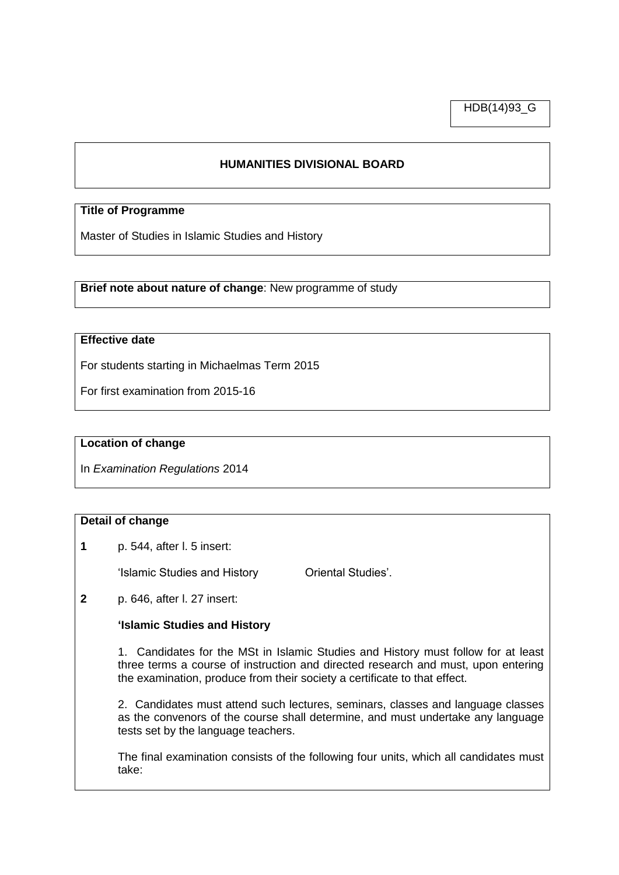HDB(14)93\_G

## **HUMANITIES DIVISIONAL BOARD**

## **Title of Programme**

Master of Studies in Islamic Studies and History

**Brief note about nature of change**: New programme of study

# **Effective date**

For students starting in Michaelmas Term 2015

For first examination from 2015-16

#### **Location of change**

In *Examination Regulations* 2014

#### **Detail of change**

**1** p. 544, after l. 5 insert:

'Islamic Studies and History **Oriental Studies'**.

**2** p. 646, after l. 27 insert:

## **'Islamic Studies and History**

1. Candidates for the MSt in Islamic Studies and History must follow for at least three terms a course of instruction and directed research and must, upon entering the examination, produce from their society a certificate to that effect.

2. Candidates must attend such lectures, seminars, classes and language classes as the convenors of the course shall determine, and must undertake any language tests set by the language teachers.

The final examination consists of the following four units, which all candidates must take: